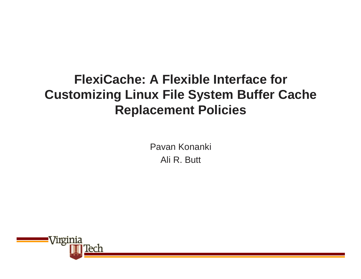#### **FlexiCache: A Flexible Interface for Customizing Linux File System Buffer Cache Replacement Policies**

Pavan KonankiAli R. Butt

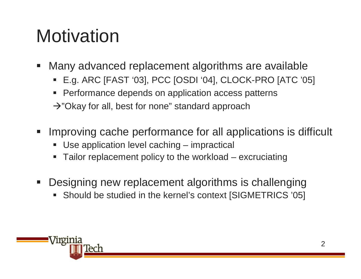## **Motivation**

- Many advanced replacement algorithms are available
	- E.g. ARC [FAST '03], PCC [OSDI '04], CLOCK-PRO [ATC '05]
	- **Performance depends on application access patterns**
	- $\rightarrow$ "Okay for all, best for none" standard approach
- Improving cache performance for all applications is difficult
	- Use application level caching impractical
	- Tailor replacement policy to the workload excruciating
- Designing new replacement algorithms is challenging
	- Should be studied in the kernel's context [SIGMETRICS '05]

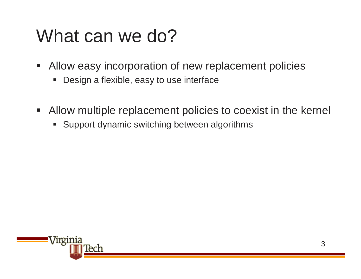#### What can we do?

- **Allow easy incorporation of new replacement policies** 
	- Design a flexible, easy to use interface
- Allow multiple replacement policies to coexist in the kernel
	- **Support dynamic switching between algorithms**

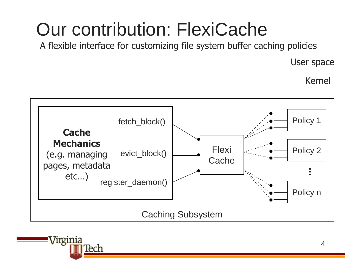## Our contribution: FlexiCache

A flexible interface for customizing file system buffer caching policies

User space

Kernel



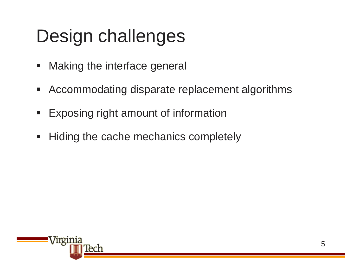# Design challenges

- **Making the interface general**
- Accommodating disparate replacement algorithms
- $\blacksquare$ Exposing right amount of information
- Hiding the cache mechanics completely